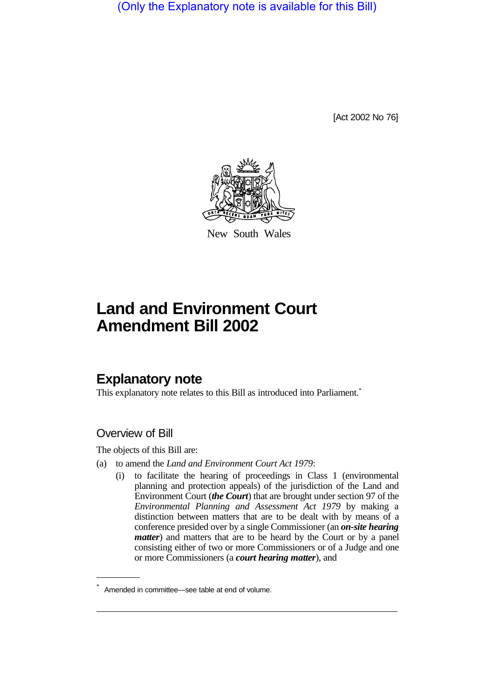(Only the Explanatory note is available for this Bill)

[Act 2002 No 76]



New South Wales

# **Land and Environment Court Amendment Bill 2002**

# **Explanatory note**

This explanatory note relates to this Bill as introduced into Parliament.<sup>\*</sup>

# Overview of Bill

The objects of this Bill are:

- (a) to amend the *Land and Environment Court Act 1979*:
	- (i) to facilitate the hearing of proceedings in Class 1 (environmental planning and protection appeals) of the jurisdiction of the Land and Environment Court (*the Court*) that are brought under section 97 of the *Environmental Planning and Assessment Act 1979* by making a distinction between matters that are to be dealt with by means of a conference presided over by a single Commissioner (an *on-site hearing matter*) and matters that are to be heard by the Court or by a panel consisting either of two or more Commissioners or of a Judge and one or more Commissioners (a *court hearing matter*), and

Amended in committee—see table at end of volume.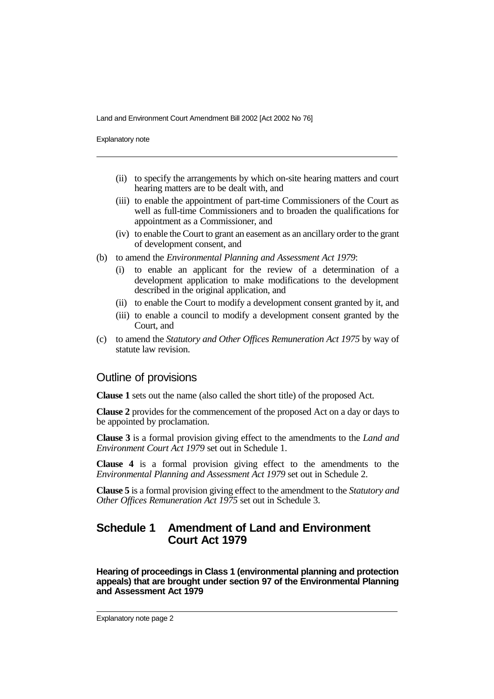Explanatory note

- (ii) to specify the arrangements by which on-site hearing matters and court hearing matters are to be dealt with, and
- (iii) to enable the appointment of part-time Commissioners of the Court as well as full-time Commissioners and to broaden the qualifications for appointment as a Commissioner, and
- (iv) to enable the Court to grant an easement as an ancillary order to the grant of development consent, and
- (b) to amend the *Environmental Planning and Assessment Act 1979*:
	- (i) to enable an applicant for the review of a determination of a development application to make modifications to the development described in the original application, and
	- (ii) to enable the Court to modify a development consent granted by it, and
	- (iii) to enable a council to modify a development consent granted by the Court, and
- (c) to amend the *Statutory and Other Offices Remuneration Act 1975* by way of statute law revision.

### Outline of provisions

**Clause 1** sets out the name (also called the short title) of the proposed Act.

**Clause 2** provides for the commencement of the proposed Act on a day or days to be appointed by proclamation.

**Clause 3** is a formal provision giving effect to the amendments to the *Land and Environment Court Act 1979* set out in Schedule 1.

**Clause 4** is a formal provision giving effect to the amendments to the *Environmental Planning and Assessment Act 1979* set out in Schedule 2.

**Clause 5** is a formal provision giving effect to the amendment to the *Statutory and Other Offices Remuneration Act 1975* set out in Schedule 3.

# **Schedule 1 Amendment of Land and Environment Court Act 1979**

**Hearing of proceedings in Class 1 (environmental planning and protection appeals) that are brought under section 97 of the Environmental Planning and Assessment Act 1979**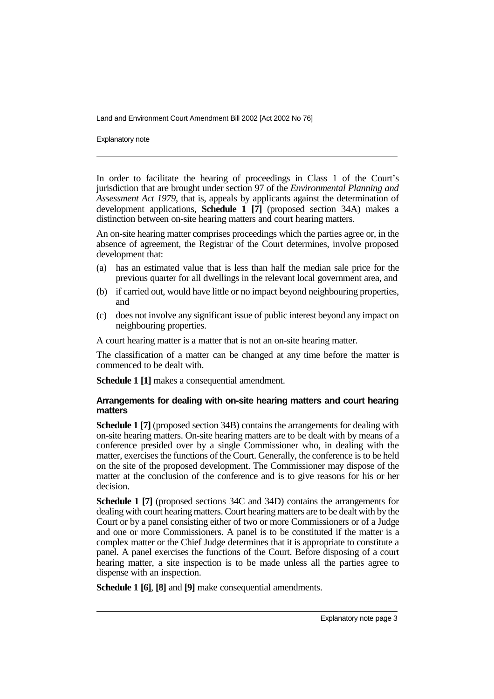Explanatory note

In order to facilitate the hearing of proceedings in Class 1 of the Court's jurisdiction that are brought under section 97 of the *Environmental Planning and Assessment Act 1979*, that is, appeals by applicants against the determination of development applications, **Schedule 1 [7]** (proposed section 34A) makes a distinction between on-site hearing matters and court hearing matters.

An on-site hearing matter comprises proceedings which the parties agree or, in the absence of agreement, the Registrar of the Court determines, involve proposed development that:

- (a) has an estimated value that is less than half the median sale price for the previous quarter for all dwellings in the relevant local government area, and
- (b) if carried out, would have little or no impact beyond neighbouring properties, and
- (c) does not involve any significant issue of public interest beyond any impact on neighbouring properties.

A court hearing matter is a matter that is not an on-site hearing matter.

The classification of a matter can be changed at any time before the matter is commenced to be dealt with.

**Schedule 1 [1]** makes a consequential amendment.

#### **Arrangements for dealing with on-site hearing matters and court hearing matters**

**Schedule 1 [7]** (proposed section 34B) contains the arrangements for dealing with on-site hearing matters. On-site hearing matters are to be dealt with by means of a conference presided over by a single Commissioner who, in dealing with the matter, exercises the functions of the Court. Generally, the conference is to be held on the site of the proposed development. The Commissioner may dispose of the matter at the conclusion of the conference and is to give reasons for his or her decision.

**Schedule 1 [7]** (proposed sections 34C and 34D) contains the arrangements for dealing with court hearing matters. Court hearing matters are to be dealt with by the Court or by a panel consisting either of two or more Commissioners or of a Judge and one or more Commissioners. A panel is to be constituted if the matter is a complex matter or the Chief Judge determines that it is appropriate to constitute a panel. A panel exercises the functions of the Court. Before disposing of a court hearing matter, a site inspection is to be made unless all the parties agree to dispense with an inspection.

**Schedule 1 [6]**, **[8]** and **[9]** make consequential amendments.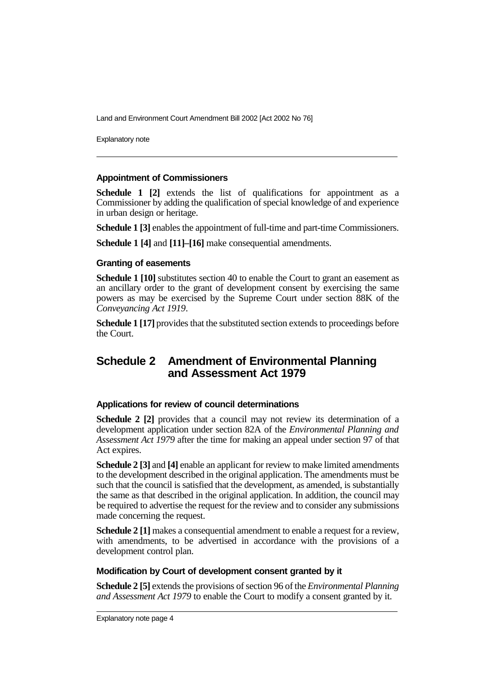Explanatory note

#### **Appointment of Commissioners**

**Schedule 1 [2]** extends the list of qualifications for appointment as a Commissioner by adding the qualification of special knowledge of and experience in urban design or heritage.

**Schedule 1 [3]** enables the appointment of full-time and part-time Commissioners.

**Schedule 1 [4]** and **[11]–[16]** make consequential amendments.

#### **Granting of easements**

**Schedule 1 [10]** substitutes section 40 to enable the Court to grant an easement as an ancillary order to the grant of development consent by exercising the same powers as may be exercised by the Supreme Court under section 88K of the *Conveyancing Act 1919*.

**Schedule 1 [17]** provides that the substituted section extends to proceedings before the Court.

# **Schedule 2 Amendment of Environmental Planning and Assessment Act 1979**

#### **Applications for review of council determinations**

**Schedule 2 [2]** provides that a council may not review its determination of a development application under section 82A of the *Environmental Planning and Assessment Act 1979* after the time for making an appeal under section 97 of that Act expires.

**Schedule 2 [3]** and **[4]** enable an applicant for review to make limited amendments to the development described in the original application. The amendments must be such that the council is satisfied that the development, as amended, is substantially the same as that described in the original application. In addition, the council may be required to advertise the request for the review and to consider any submissions made concerning the request.

**Schedule 2 [1]** makes a consequential amendment to enable a request for a review, with amendments, to be advertised in accordance with the provisions of a development control plan.

#### **Modification by Court of development consent granted by it**

**Schedule 2 [5]** extends the provisions of section 96 of the *Environmental Planning and Assessment Act 1979* to enable the Court to modify a consent granted by it.